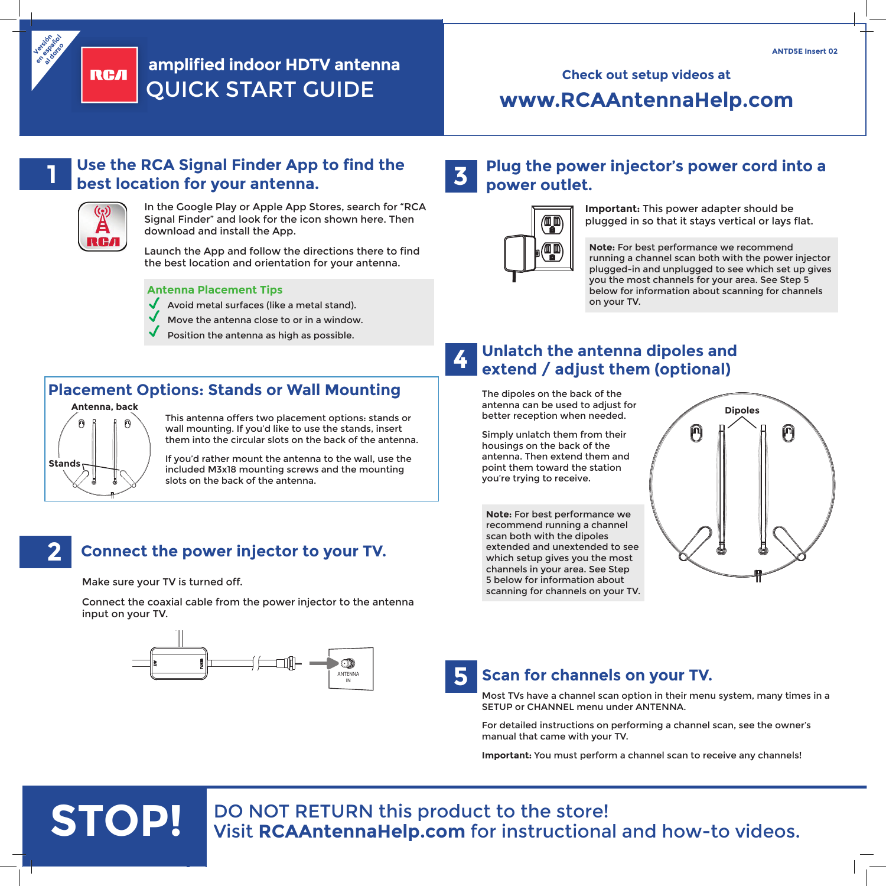



# **ANTD5E Insert 02**<br>  $\delta_{\hat{x}}^{\hat{x}},\hat{\theta}^{\hat{y}}$ **amplified indoor HDTV antenna** QUICK START GUIDE

# **www.RCAAntennaHelp.com**

# **1**

**Stands**

**2**

#### **Use the RCA Signal Finder App to find the best location for your antenna.**



In the Google Play or Apple App Stores, search for "RCA Signal Finder" and look for the icon shown here. Then download and install the App.

Launch the App and follow the directions there to find the best location and orientation for your antenna.

#### **Antenna Placement Tips**

- Avoid metal surfaces (like a metal stand).
- Move the antenna close to or in a window.
- Position the antenna as high as possible.

#### **Placement Options: Stands or Wall Mounting Antenna, back**

This antenna offers two placement options: stands or wall mounting. If you'd like to use the stands, insert them into the circular slots on the back of the antenna.

If you'd rather mount the antenna to the wall, use the included M3x18 mounting screws and the mounting slots on the back of the antenna.

#### **Plug the power injector's power cord into a power outlet. 3**



**Important:** This power adapter should be plugged in so that it stays vertical or lays flat.

**Note:** For best performance we recommend running a channel scan both with the power injector plugged-in and unplugged to see which set up gives you the most channels for your area. See Step 5 below for information about scanning for channels on your TV.

#### **4 Unlatch the antenna dipoles and extend / adjust them (optional)**

The dipoles on the back of the antenna can be used to adjust for better reception when needed.

Simply unlatch them from their housings on the back of the antenna. Then extend them and point them toward the station you're trying to receive.

**Note:** For best performance we recommend running a channel scan both with the dipoles extended and unextended to see which setup gives you the most channels in your area. See Step 5 below for information about scanning for channels on your TV.



## **Connect the power injector to your TV.**

Make sure your TV is turned off.

Connect the coaxial cable from the power injector to the antenna input on your TV.



# **Scan for channels on your TV.**

Most TVs have a channel scan option in their menu system, many times in a SETUP or CHANNEL menu under ANTENNA.

For detailed instructions on performing a channel scan, see the owner's manual that came with your TV.

**Important:** You must perform a channel scan to receive any channels!

# **STOP!** DO NOT RETURN this product to the store!<br>
Visit **RCAAntennaHelp.com** for instructional and how-to videos.

**5**